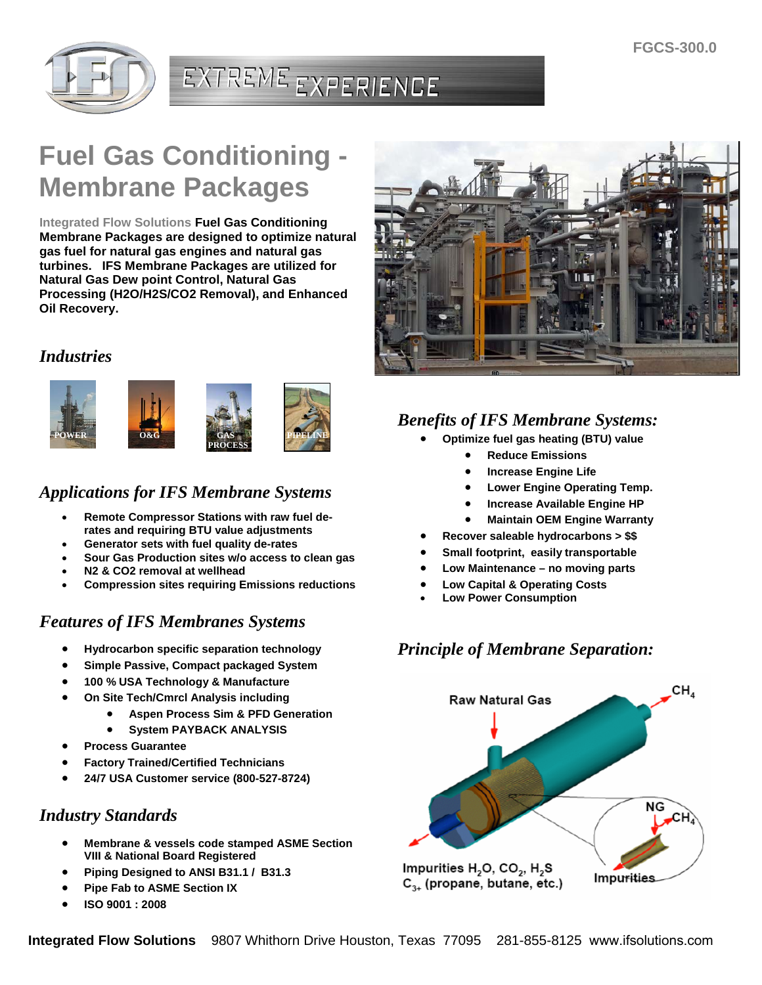

# EXTREME EXPERIENCE

# **Fuel Gas Conditioning - Membrane Packages**

**Integrated Flow Solutions Fuel Gas Conditioning Membrane Packages are designed to optimize natural gas fuel for natural gas engines and natural gas turbines. IFS Membrane Packages are utilized for Natural Gas Dew point Control, Natural Gas Processing (H2O/H2S/CO2 Removal), and Enhanced Oil Recovery.**

#### *Industries*



### *Applications for IFS Membrane Systems*

- **Remote Compressor Stations with raw fuel derates and requiring BTU value adjustments**
- **Generator sets with fuel quality de-rates**
- **Sour Gas Production sites w/o access to clean gas**
- **N2 & CO2 removal at wellhead**
- **Compression sites requiring Emissions reductions**

### *Features of IFS Membranes Systems*

- **Hydrocarbon specific separation technology**
- **Simple Passive, Compact packaged System**
- **100 % USA Technology & Manufacture**
- **On Site Tech/Cmrcl Analysis including**
	- **Aspen Process Sim & PFD Generation**
	- **System PAYBACK ANALYSIS**
- **Process Guarantee**
- **Factory Trained/Certified Technicians**
- **24/7 USA Customer service (800-527-8724)**

#### *Industry Standards*

- **Membrane & vessels code stamped ASME Section VIII & National Board Registered**
- **Piping Designed to ANSI B31.1 / B31.3**
- **Pipe Fab to ASME Section IX**
- **ISO 9001 : 2008**



## *Benefits of IFS Membrane Systems:*

- **Optimize fuel gas heating (BTU) value**
	- **Reduce Emissions**
	- **Increase Engine Life**
	- **Lower Engine Operating Temp.**
	- **Increase Available Engine HP**
	- **Maintain OEM Engine Warranty**
- **Recover saleable hydrocarbons > \$\$**
- **Small footprint, easily transportable**
- **Low Maintenance no moving parts**
- **Low Capital & Operating Costs**
- **Low Power Consumption**

#### *Principle of Membrane Separation:*